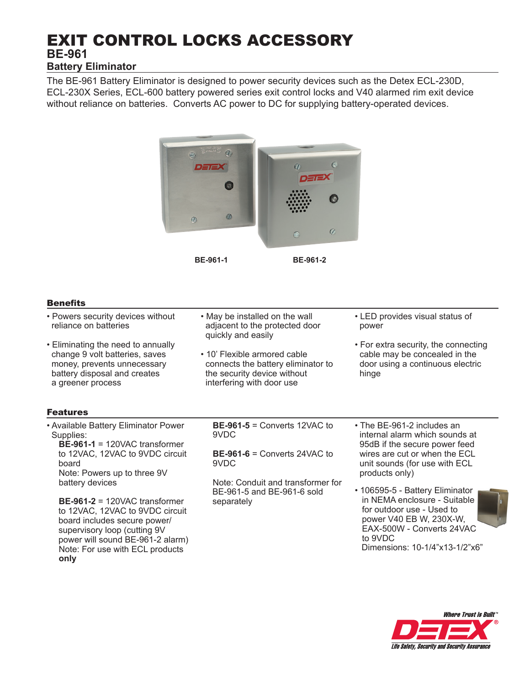# EXIT CONTROL LOCKS ACCESSORY **BE-961 Battery Eliminator**

The BE-961 Battery Eliminator is designed to power security devices such as the Detex ECL-230D, ECL-230X Series, ECL-600 battery powered series exit control locks and V40 alarmed rim exit device without reliance on batteries. Converts AC power to DC for supplying battery-operated devices.



**BE-961-1 BE-961-2**

### **Benefits**

- Powers security devices without reliance on batteries
- Eliminating the need to annually change 9 volt batteries, saves money, prevents unnecessary battery disposal and creates a greener process
- May be installed on the wall adjacent to the protected door quickly and easily
- 10' Flexible armored cable connects the battery eliminator to the security device without interfering with door use
- LED provides visual status of power
- For extra security, the connecting cable may be concealed in the door using a continuous electric hinge

# Features

• Available Battery Eliminator Power Supplies: **BE-961-1** = 120VAC transformer to 12VAC, 12VAC to 9VDC circuit board Note: Powers up to three 9V battery devices

 **BE-961-2** = 120VAC transformer to 12VAC, 12VAC to 9VDC circuit board includes secure power/ supervisory loop (cutting 9V power will sound BE-961-2 alarm) Note: For use with ECL products **only**

 **BE-961-5** = Converts 12VAC to 9VDC

 **BE-961-6** = Converts 24VAC to 9VDC

 Note: Conduit and transformer for BE-961-5 and BE-961-6 sold separately

- The BE-961-2 includes an internal alarm which sounds at 95dB if the secure power feed wires are cut or when the ECL unit sounds (for use with ECL products only)
- 106595-5 Battery Eliminator in NEMA enclosure - Suitable for outdoor use - Used to power V40 EB W, 230X-W, EAX-500W - Converts 24VAC to 9VDC Dimensions: 10-1/4"x13-1/2"x6"